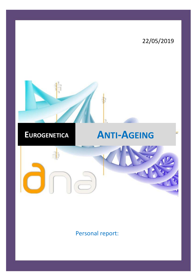

Personal report: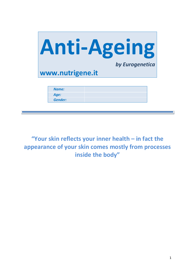

**"Your skin reflects your inner health – in fact the appearance of your skin comes mostly from processes inside the body"**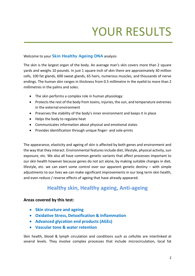# YOUR RESULTS

# Welcome to your **Skin Healthy Ageing DNA** analysis

The skin is the largest organ of the body. An average man's skin covers more than 2 square yards and weighs 10 pounds. In just 1 square inch of skin there are approximately 30 million cells, 100 fat glands, 600 sweat glands, 65 hairs, numerous muscles, and thousands of nerve endings. The human skin ranges in thickness from 0.5 millimetre in the eyelid to more than 2 millimetres in the palms and soles.

- The skin performs a complex role in human physiology:
- Protects the rest of the body from toxins, injuries, the sun, and temperature extremes in the external environment
- Preserves the stability of the body's inner environment and keeps it in place
- Helps the body to regulate heat
- Communicates information about physical and emotional states
- Provides identification through unique finger- and sole-prints

The appearance, elasticity and ageing of skin is affected by both genes and environment and the way that they interact. Environmental features include diet, lifestyle, physical activity, sun exposure, etc. We also all have common genetic variants that affect processes important to our skin health however because genes do not act alone, by making suitable changes in diet, lifestyle, etc. we can exert some control over our apparent genetic destiny – with simple adjustments to our lives we can make significant improvements in our long term skin health, and even reduce / reverse effects of ageing that have already appeared.

# **Healthy skin, Healthy ageing, Anti-ageing**

# **Areas covered by this test:**

- **Skin structure and ageing**
- **Oxidative Stress, Detoxification & Inflammation**
- **Advanced glycation end products (AGEs)**
- **Vascular tone & water retention**

Skin health, blood & lymph circulation and conditions such as cellulite are interlinked at several levels. They involve complex processes that include microcirculation, local fat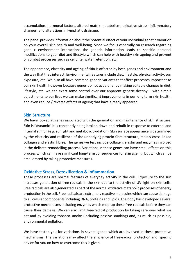accumulation, hormonal factors, altered matrix metabolism, oxidative stress, inflammatory changes, and alterations in lymphatic drainage.

The panel provides information about the potential effect of your individual genetic variation on your overall skin health and well-being. Since we focus especially on research regarding gene x environment interactions the genetic information leads to specific personal modifications to your diet and lifestyle which can help with healthy skin ageing and prevent or combat processes such as cellulite, water retention, etc.

The appearance, elasticity and ageing of skin is affected by both genes and environment and the way that they interact. Environmental features include diet, lifestyle, physical activity, sun exposure, etc. We also all have common genetic variants that affect processes important to our skin health however because genes do not act alone, by making suitable changes in diet, lifestyle, etc. we can exert some control over our apparent genetic destiny – with simple adjustments to our lives we can make significant improvements in our long term skin health, and even reduce / reverse effects of ageing that have already appeared.

## **Skin Structure**

We have looked at genes associated with the generation and maintenance of skin structure. Skin is "dynamic" it is constantly being broken down and rebuilt in response to external and internal stimuli (e.g. sunlight and metabolic oxidation). Skin surface appearance is determined by the elasticity and resilience of the underlying protein fibre structure, mainly cross-linked collagen and elastin fibres. The genes we test include collagen, elastin and enzymes involved in the delicate remodelling process. Variations in these genes can have small effects on this process which can have significant long-term consequences for skin ageing, but which can be ameliorated by taking protective measures.

# **Oxidative Stress, Detoxification & Inflammation**

These processes are normal features of everyday activity in the cell. Exposure to the sun increases generation of free radicals in the skin due to the activity of UV light on skin cells. Free radicals are also generated as part of the normal oxidative metabolic processes of energy production in the cell. Free radicals are extremely reactive molecules which can cause damage to all cellular components including DNA, proteins and lipids. The body has developed several protective mechanisms including enzymes which mop-up these free-radicals before they can cause their damage. We can also limit free-radical production by taking care over what we eat and by avoiding tobacco smoke (including passive smoking) and, as much as possible, environmental pollution.

We have tested you for variations in several genes which are involved in these protective mechanisms. The variations may affect the efficiency of free-radical protection and specific advice for you on how to overcome this is given.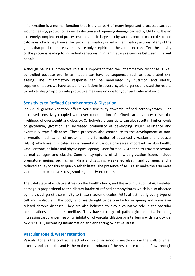Inflammation is a normal function that is a vital part of many important processes such as wound healing, protection against infection and repairing damage caused by UV light. It is an extremely complex set of processes mediated in large part by various protein molecules called cytokines which may have either pro-inflammatory or anti-inflammatory actions. Many of the genes that produce these cytokines are polymorphic and the variations can affect the activity of the proteins leading to individual variations in inflammatory responses between different people.

Although having a protective role it is important that the inflammatory response is well controlled because over-inflammation can have consequences such as accelerated skin ageing. The inflammatory response can be modulated by nutrition and dietary supplementation, we have tested for variations in several cytokine genes and used the results to help to design appropriate protective measure unique for your particular make-up.

## **Sensitivity to Refined Carbohydrates & Glycation**

Individual genetic variation affects your sensitivity towards refined carbohydrates – an increased sensitivity coupled with over consumption of refined carbohydrates raises the likelihood of overweight and obesity. Carbohydrate sensitivity can also result in higher levels of glycaemia, glycation, an increased probability of developing insulin resistance and eventually type 2 diabetes. These processes also contribute to the development of nonenzymatic modification of proteins in the formation of advanced glycation end products (AGEs) which are implicated as detrimental in various processes important for skin health, vascular tone, cellulite and physiological ageing. Once formed, AGEs tend to gravitate toward dermal collagen and elastin. Common symptoms of skin with glycation issues include premature ageing, such as wrinkling and sagging; weakened elastin and collagen; and a reduced ability for skin to quickly rehabilitate. The presence of AGEs also make the skin more vulnerable to oxidative stress, smoking and UV exposure.

The total state of oxidative stress on the healthy body, and the accumulation of AGE-related damage is proportional to the dietary intake of refined carbohydrates which is also affected by individual genetic sensitivity to these macromolecules. AGEs affect nearly every type of cell and molecule in the body, and are thought to be one factor in ageing and some agerelated chronic diseases. They are also believed to play a causative role in the vascular complications of diabetes mellitus. They have a range of pathological effects, including increasing vascular permeability, inhibition of vascular dilation by interfering with nitric oxide, oxidising LDL, increasing inflammation and enhancing oxidative stress.

## **Vascular tone & water retention**

Vascular tone is the contractile activity of vascular smooth muscle cells in the walls of small arteries and arterioles and is the major determinant of the resistance to blood flow through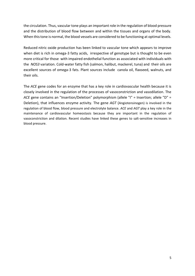the circulation. Thus, vascular tone plays an important role in the regulation of blood pressure and the distribution of blood flow between and within the tissues and organs of the body. When this tone is normal, the blood vessels are considered to be functioning at optimal levels.

Reduced nitric oxide production has been linked to vascular tone which appears to improve when diet is rich in omega-3 fatty acids, irrespective of genotype but is thought to be even more critical for those with impaired endothelial function as associated with individuals with the *NOS3* variation. Cold-water fatty fish (salmon, halibut, mackerel, tuna) and their oils are excellent sources of omega-3 fats. Plant sources include canola oil, flaxseed, walnuts, and their oils.

The *ACE* gene codes for an enzyme that has a key role in cardiovascular health because it is closely involved in the regulation of the processes of vasoconstriction and vasodilation. The *ACE* gene contains an "Insertion/Deletion" polymorphism (allele "I" = Insertion; allele "D" = Deletion), that influences enzyme activity. The gene *AGT* (Angiotensinogen) is involved in the regulation of blood flow, blood pressure and electrolyte balance. *ACE* and *AGT* play a key role in the maintenance of cardiovascular homeostasis because they are important in the regulation of vasoconstriction and dilation. Recent studies have linked these genes to salt-sensitive increases in blood pressure.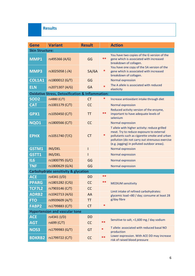# **Results**

| <b>Gene</b>                           | <b>Variant</b>                                              | <b>Result</b>                        | <b>Action</b>            |                                                                                                                                                                                                                                           |  |
|---------------------------------------|-------------------------------------------------------------|--------------------------------------|--------------------------|-------------------------------------------------------------------------------------------------------------------------------------------------------------------------------------------------------------------------------------------|--|
| <b>Skin Structure:</b>                |                                                             |                                      |                          |                                                                                                                                                                                                                                           |  |
| <b>MMP1</b>                           | rs495366 (A/G)                                              | GG                                   | **                       | You have two copies of the G version of the<br>gene which is associated with increased<br>breakdown of collagen.                                                                                                                          |  |
| <b>MMP3</b>                           | rs3025058 (-/A)                                             | ∗<br>5A/6A<br>breakdown of collagen. |                          | You have one copy of the 5A version of the<br>gene which is associated with increased                                                                                                                                                     |  |
| <b>COL1A1</b>                         | rs1800012 (G/T)                                             | GG                                   | <b>Normal expression</b> |                                                                                                                                                                                                                                           |  |
| <b>ELN</b>                            | rs2071307 (A/G)                                             | <b>GA</b>                            | $\ast$                   | The A allele is associated with reduced<br>elasticity                                                                                                                                                                                     |  |
|                                       | <b>Oxidative Stress, Detoxification &amp; Inflammation:</b> |                                      |                          |                                                                                                                                                                                                                                           |  |
| SOD <sub>2</sub>                      | rs4880 (C/T)                                                | <b>CT</b>                            | *                        | Increase antioxidant intake through diet                                                                                                                                                                                                  |  |
| <b>CAT</b>                            | rs1001179 (C/T)                                             | CC                                   |                          | Normal expression                                                                                                                                                                                                                         |  |
| GPX1                                  | rs1050450 (C/T)                                             | TT                                   | **                       | Reduced activity version of the enzyme,<br>important to have adequate levels of<br>selenium                                                                                                                                               |  |
| <b>NQ01</b>                           | rs1800566 (C/T)                                             | CC                                   |                          | <b>Normal expression</b>                                                                                                                                                                                                                  |  |
| <b>EPHX</b>                           | rs1051740 (T/C)                                             | <b>CT</b>                            | *                        | T allele with higher activity: reduce grilled<br>meat. Try to reduce exposure to external<br>pollutants such as cigarette smoke and urban<br>pollution (do not carry out strenuous exercise<br>(e.g. jogging) in polluted outdoor areas). |  |
| GSTM1                                 | INS/DEL                                                     | I                                    |                          | <b>Normal expression</b>                                                                                                                                                                                                                  |  |
| GSTT1                                 | INS/DEL                                                     | T                                    |                          | <b>Normal expression</b>                                                                                                                                                                                                                  |  |
| <b>IL6</b>                            | rs1800795 (G/C)                                             | GG                                   |                          | <b>Normal expression</b>                                                                                                                                                                                                                  |  |
| <b>TNF</b>                            | rs1800629 (G/A)                                             | GG                                   |                          | <b>Normal expression</b>                                                                                                                                                                                                                  |  |
|                                       | <b>Carbohydrate sensitivity &amp; glycation</b>             |                                      |                          |                                                                                                                                                                                                                                           |  |
| <b>ACE</b>                            | rs4341 (I/D)                                                | <b>DD</b>                            | **                       |                                                                                                                                                                                                                                           |  |
| <b>PPARG</b>                          | rs1801282 (C/G)                                             | <b>CC</b>                            | **                       | <b>MEDIUM sensitivity</b>                                                                                                                                                                                                                 |  |
| <b>TCF7L2</b>                         | rs7903146 (C/T)                                             | CC                                   |                          |                                                                                                                                                                                                                                           |  |
| <b>ADRB2</b>                          | rs1042713 (A/G)                                             | AA                                   |                          | Limit intake of refined carbohydrates:<br>glycemic load <80 / day; consume at least 28                                                                                                                                                    |  |
| <b>FTO</b>                            | rs9939609 (A/T)                                             | <b>TT</b>                            |                          | g/day fibre                                                                                                                                                                                                                               |  |
| <b>FABP2</b>                          | rs1799883 (C/T)                                             | <b>CT</b>                            | *                        |                                                                                                                                                                                                                                           |  |
| <b>Hypertension and vascular tone</b> |                                                             |                                      |                          |                                                                                                                                                                                                                                           |  |
| <b>ACE</b>                            | rs4341 (I/D)                                                | <b>DD</b>                            |                          | Sensitive to salt, <1,600 mg / day sodium                                                                                                                                                                                                 |  |
| <b>AGT</b>                            | rs699 (C/T)                                                 | CC                                   | **                       |                                                                                                                                                                                                                                           |  |
| <b>NOS3</b>                           | rs1799983 (G/T)                                             | GT                                   | *                        | T allele: associated with reduced basal NO<br>production                                                                                                                                                                                  |  |
| <b>BDKRB2</b>                         | rs1799722 (C/T)                                             | CC                                   | **                       | Lower expression. With ACE DD may increase<br>risk of raised blood pressure                                                                                                                                                               |  |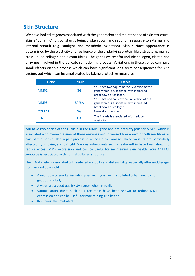# **Skin Structure**

We have looked at genes associated with the generation and maintenance of skin structure. Skin is "dynamic" it is constantly being broken down and rebuilt in response to external and internal stimuli (e.g. sunlight and metabolic oxidation). Skin surface appearance is determined by the elasticity and resilience of the underlying protein fibre structure, mainly cross-linked collagen and elastin fibres. The genes we test for include collagen, elastin and enzymes involved in the delicate remodelling process. Variations in these genes can have small effects on this process which can have significant long-term consequences for skin ageing, but which can be ameliorated by taking protective measures.

| Gene   | <b>Result</b> | <b>Effect</b>                                                                                                    |
|--------|---------------|------------------------------------------------------------------------------------------------------------------|
| MMP1   | GG            | You have two copies of the G version of the<br>gene which is associated with increased<br>breakdown of collagen. |
| MMP3   | 5A/6A         | You have one copy of the 5A version of the<br>gene which is associated with increased<br>breakdown of collagen.  |
| COL1A1 | GG            | Normal expression                                                                                                |
| FI N   | GA            | The A allele is associated with reduced<br>elasticity                                                            |

You have two copies of the G allele in the MMP1 gene and are heterozygous for MMP3 which is associated with overexpression of these enzymes and increased breakdown of collagen fibres as part of the normal skin repair process in response to damage. These variants are particularly affected by smoking and UV light. Various antioxidants such as astaxanthin have been shown to reduce excess MMP expression and can be useful for maintaining skin health. Your COL1A1 genotype is associated with normal collagen structure.

The ELN A allele is associated with reduced elasticity and distensibility, especially after middle-age, from around 50 yrs old

- Avoid tobacco smoke, including passive. If you live in a polluted urban area try to get out regularly
- Always use a good quality UV screen when in sunlight
- Various antioxidants such as astaxanthin have been shown to reduce MMP expression and can be useful for maintaining skin health.
- Keep your skin hydrated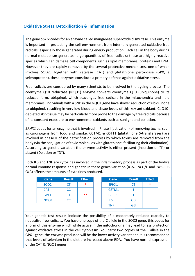# **Oxidative Stress, Detoxification & Inflammation**

The gene *SOD2* codes for an enzyme called manganese superoxide dismutase. This enzyme is important in protecting the cell environment from internally generated oxidative free radicals, especially those generated during energy production. Each cell in the body during normal metabolism generates large quantities of free radicals; these are highly reactive species which can damage cell components such as lipid membranes, proteins and DNA. However they are rapidly removed by the several protective mechanisms, one of which involves SOD2. Together with catalase (CAT) and glutathione peroxidase (GPX, a selenoprotein), these enzymes constitute a primary defense against oxidative stress.

Free radicals are considered by many scientists to be involved in the ageing process. The coenzyme Q10 reductase (NQO1) enzyme converts coenzyme Q10 (ubiquinone) to its reduced form, ubiquinol, which scavenges free radicals in the mitochondria and lipid membranes. Individuals with a SNP in the NQO1 gene have slower reduction of ubiquinone to ubiquinol, resulting in very low blood and tissue levels of this key antioxidant. CoQ10 depleted skin tissue may be particularly more prone to the damage by free radicals because of its constant exposure to environmental oxidants such as sunlight and pollution.

*EPHX1* codes for an enzyme that is involved in Phase I (activation) of removing toxins, such as carcinogens from food and smoke. GSTM1 & GSTT1 (glutathione S-transferases) are involved in phase II of the detoxification process by which toxins are removed from the body (via the conjugation of toxic molecules with glutathione, facilitating their elimination). According to genetic variation the enzyme activity is either present (Insertion or "I") or absent (Deletion or "D").

Both IL6 and TNF are cytokines involved in the inflammatory process as part of the body's normal immune response and genetic in these genes variation (*IL-6*-174 G/C and *TNF*-308 G/A) affects the amounts of cytokines produced.

| <b>Gene</b>      | <b>Result</b> | <b>Effect</b> | <b>Gene</b> | <b>Result</b> |  |
|------------------|---------------|---------------|-------------|---------------|--|
| SOD <sub>2</sub> |               | $\ast$        | EPHX1       | CT            |  |
| <b>CAT</b>       | CC            |               | GSTM1       |               |  |
| GPX1             |               | $***$         | GSTT1       |               |  |
| <b>NQ01</b>      | CC            |               | IL6         | GG            |  |
|                  |               |               | <b>TAIR</b> | $\sim$        |  |

| <b>Gene</b>     | <b>Result</b> | <b>Effect</b> |
|-----------------|---------------|---------------|
| EPHX1           | CT            | ∗             |
| GSTM1           |               |               |
| GSTT1           |               |               |
| IL <sub>6</sub> | GG            |               |
| <b>TNF</b>      | GG            |               |

Your genetic test results indicate the possibility of a moderately reduced capacity to neutralise free radicals. You have one copy of the C allele in the SOD2 gene, this codes for a form of this enzyme which while active in the mitochondria may lead to less protection against oxidative stress in the cell cytoplasm. You carry two copies of the T allele in the GPX1 gene, the enzyme produced will be the lower activity variant and it is recommended that levels of selenium in the diet are increased above RDA. You have normal expression of the CAT & NQO1 genes.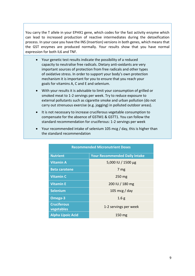You carry the T allele in your EPHX1 gene, which codes for the fast activity enzyme which can lead to increased production of reactive intermediates during the detoxification process. In your case you have the INS (Insertion) versions in both genes, which means that the GST enzymes are produced normally. Your results show that you have normal expression for both IL6 and TNF.

- Your genetic test results indicate the possibility of a reduced capacity to neutralise free radicals. Dietary anti-oxidants are very important sources of protection from free radicals and other types of oxidative stress. In order to support your body's own protection mechanism it is important for you to ensure that you reach your goals for vitamins A, C and E and selenium.
- With your results it is advisable to limit your consumption of grilled or smoked meat to 1-2 servings per week. Try to reduce exposure to external pollutants such as cigarette smoke and urban pollution (do not carry out strenuous exercise (e.g. jogging) in polluted outdoor areas).
- It is not necessary to increase cruciferous vegetable consumption to compensate for the absence of GSTM1 & GSTT1. You can follow the standard recommendation for cruciferous: 1-2 servings per week
- Your recommended intake of selenium 105 mcg / day, this is higher than the standard recommendation

| <b>Recommended Micronutrient Doses</b> |                                      |  |  |
|----------------------------------------|--------------------------------------|--|--|
| <b>Nutrient</b>                        | <b>Your Recommended Daily Intake</b> |  |  |
| <b>Vitamin A</b>                       | 5,000 IU / 1500 µg                   |  |  |
| <b>Beta carotene</b>                   | 7 mg                                 |  |  |
| <b>Vitamin C</b>                       | $250$ mg                             |  |  |
| <b>Vitamin E</b>                       | 200 IU / 180 mg                      |  |  |
| <b>Selenium</b>                        | 105 mcg / day                        |  |  |
| Omega-3                                | 1.6 <sub>g</sub>                     |  |  |
| <b>Cruciferous</b><br>vegetables       | 1-2 servings per week                |  |  |
| <b>Alpha Lipoic Acid</b>               | 150 mg                               |  |  |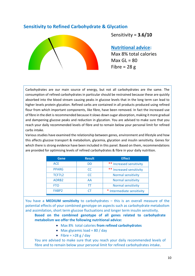# **Sensitivity to Refined Carbohydrate & Glycation**



Sensitivity = **3.6/10**

# **Nutritional advice:**

Max 8% total calories  $Max GL = 80$ Fibre =  $28 g$ 

Carbohydrates are our main source of energy, but not all carbohydrates are the same. The consumption of refined carbohydrates in particular should be restrained because these are quickly absorbed into the blood stream causing peaks in glucose levels that in the long term can lead to higher levels protein glycation. Refined carbs are contained in all products produced using refined flour from which important components, like fibre, have been removed. In fact the increased use of fibre in the diet is recommended because it slows down sugar absorption, making it more gradual and dampening glucose peaks and reduction in glycation. You are advised to make sure that you reach your daily recommended levels of fibre and to remain below your personal limit for refined carbs intake.

Various studies have examined the relationship between genes, environment and lifestyle and how this affects glucose transport & metabolism, glycemia, glycation and insulin sensitivity. Genes for which there is strong evidence have been included in this panel. Based on them, recommendations are provided for optimising levels of refined carbohydrates & fibre in your daily nutrition.

| Gene              | <b>Result</b> | <b>Effect</b>              |
|-------------------|---------------|----------------------------|
| <b>ACE</b>        | DD            | ** Increased sensitivity   |
| <b>PPARG</b>      | <b>CC</b>     | ** Increased sensitivity   |
| TCF7L2            | <b>CC</b>     | <b>Normal sensitivity</b>  |
| ADRB <sub>2</sub> | AA            | <b>Normal sensitivity</b>  |
| <b>FTO</b>        | ТT            | Normal sensitivity         |
| FABP <sub>2</sub> | CΤ            | * Intermediate sensitivity |

You have a **MEDIUM sensitivity** to carbohydrates – this is an overall measure of the potential effects of your combined genotype on aspects such as carbohydrate metabolism and assimilation, short term glucose fluctuations and longer term insulin sensitivity.

**Based on the combined genotype of all genes related to carbohydrate metabolism we offer the following nutritional advice:**

- Max 8% total calories **from refined carbohydrates**
- Max glycemic load =  $80$  / day
- Fibre =  $>28 g / day$

You are advised to make sure that you reach your daily recommended levels of fibre and to remain below your personal limit for refined carbohydrates intake.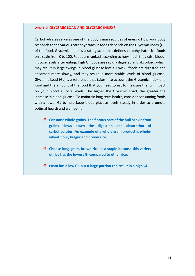#### **WHAT IS GLYCEMIC LOAD AND GLYCEMIC INDEX?**

Carbohydrates serve as one of the body's main sources of energy. How your body responds to the various carbohydrates in foods depends on the Glycemic Index (GI) of the food. Glycemic Index is a rating scale that defines carbohydrate-rich foods on a scale from 0 to 100. Foods are ranked according to how much they raise bloodglucose levels after eating. High GI foods are rapidly digested and absorbed, which may result in large swings in blood glucose levels. Low GI foods are digested and absorbed more slowly, and may result in more stable levels of blood glucose. Glycemic Load (GL) is a reference that takes into account the Glycemic Index of a food and the amount of the food that you need to eat to measure the full impact on your blood glucose levels. The higher the Glycemic Load, the greater the increase in blood glucose. To maintain long term health, consider consuming foods with a lower GL to help keep blood glucose levels steady in order to promote optimal health and well-being.

- **Consume whole grains. The fibrous coat of the hull or skin from grains slows down the digestion and absorption of carbohydrates. An example of a whole grain product is wholewheat flour, bulgur and brown rice.**
- **Choose long-grain, brown rice as a staple because this variety of rice has the lowest GI compared to other rice.**
- **Pasta has a low GI, but a large portion can result in a high GL.**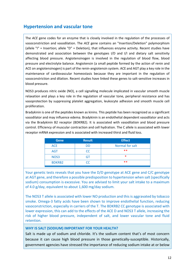# **Hypertension and vascular tone**

The *ACE* gene codes for an enzyme that is closely involved in the regulation of the processes of vasoconstriction and vasodilation. The *ACE* gene contains an "Insertion/Deletion" polymorphism (allele "I" = Insertion; allele "D" = Deletion), that influences enzyme activity. Recent studies have demonstrated and association between the genotypes I/D and I/I and dietary salt sensitivity affecting blood pressure. Angiotensinogen is involved in the regulation of blood flow, blood pressure and electrolyte balance. Angiotensin (a small peptide formed by the action of renin and ACE on angiotensinogen) is part of the renin-angiotensin system. ACE and AGT play a key role in the maintenance of cardiovascular homeostasis because they are important in the regulation of vasoconstriction and dilation. Recent studies have linked these genes to salt-sensitive increases in blood pressure.

NOS3 produces nitric oxide (NO), a cell signalling molecule implicated in vascular smooth muscle relaxation and plays a key role in the regulation of vascular tone, peripheral resistance and has vasoprotection by suppressing platelet aggregation, leukocyte adhesion and smooth muscle cell proliferation.

Bradykinin is one of the peptides known as kinins. This peptide has been recognized as a significant vasodilator and may influence edema. Bradykinin is an endothelial dependent vasodilator and acts via the Bradykinin B2 receptor (BDKRB2). It is associated with vasodilation and blood pressure control. Efficiency of muscular contraction and cell hydration. The C allele is associated with lower receptor mRNA expression and is associated with increased thirst and fluid loss.

| <b>Gene</b>   | <b>Result</b> | <b>Effect</b>   |
|---------------|---------------|-----------------|
| <b>ACE</b>    | DD            | Normal for salt |
| <b>AGT</b>    | <b>CC</b>     | $***$           |
| NOS3          | GT            | $\ast$          |
| <b>BDKRB2</b> | CC            | $***$           |

Your genetic tests reveals that you have the D/D genotype at ACE gene and C/C genotype at AGT gene, and therefore a possible predisposition to hypertension when salt (specifically sodium) consumption is excessive. You are advised to limit your salt intake to a maximum of 4.0 g/day, equivalent to about 1,600 mg/day sodium.

The NOS3 T allele is associated with lower NO production and this is aggravated by tobacco smoke. Omega-3 fatty acids have been shown to improve endothelial function, reducing vasoconstriction, especially in carriers of the T. The BDKRB2 CC genotype is associated with lower expression, this can add to the effects of the ACE D and NOS3 T allele, increasing the risk of higher blood pressure, independent of salt, and lower vascular tone and fluid retention.

## **WHY IS SALT (SODIUM) IMPORTANT FOR YOUR HEALTH?**

Salt is made up of sodium and chloride. It's the sodium content that's of most concern because it can cause high blood pressure in those genetically-susceptible. Historically, government agencies have stressed the importance of reducing sodium intake at or below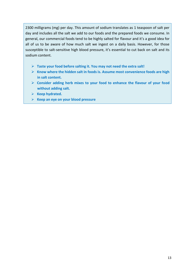2300 milligrams (mg) per day. This amount of sodium translates as 1 teaspoon of salt per day and includes all the salt we add to our foods and the prepared foods we consume. In general, our commercial foods tend to be highly salted for flavour and it's a good idea for all of us to be aware of how much salt we ingest on a daily basis. However, for those susceptible to salt-sensitive high blood pressure, it's essential to cut back on salt and its sodium content.

- ➢ **Taste your food before salting it. You may not need the extra salt!**
- ➢ **Know where the hidden salt in foods is. Assume most convenience foods are high in salt content.**
- ➢ **Consider adding herb mixes to your food to enhance the flavour of your food without adding salt.**
- ➢ **Keep hydrated.**
- ➢ **Keep an eye on your blood pressure**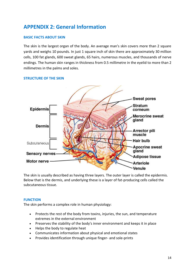# **APPENDIX 2: General Information**

## **BASIC FACTS ABOUT SKIN**

The skin is the largest organ of the body. An average man's skin covers more than 2 square yards and weighs 10 pounds. In just 1 square inch of skin there are approximately 30 million cells, 100 fat glands, 600 sweat glands, 65 hairs, numerous muscles, and thousands of nerve endings. The human skin ranges in thickness from 0.5 millimetre in the eyelid to more than 2 millimetres in the palms and soles.



### **STRUCTURE OF THE SKIN**

The skin is usually described as having three layers. The outer layer is called the epidermis. Below that is the dermis, and underlying these is a layer of fat-producing cells called the subcutaneous tissue.

### **FUNCTION**

The skin performs a complex role in human physiology:

- Protects the rest of the body from toxins, injuries, the sun, and temperature extremes in the external environment
- Preserves the stability of the body's inner environment and keeps it in place
- Helps the body to regulate heat
- Communicates information about physical and emotional states
- Provides identification through unique finger- and sole-prints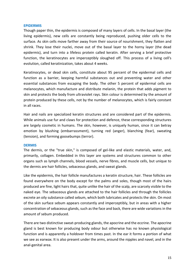#### **EPIDERMIS**

Though paper thin, the epidermis is composed of many layers of cells. In the basal layer (the living epidermis), new cells are constantly being reproduced, pushing older cells to the surface. As skin cells move farther away from their source of nourishment, they flatten and shrink. They lose their nuclei, move out of the basal layer to the horny layer (the dead epidermis), and turn into a lifeless protein called keratin. After serving a brief protective function, the keratinocytes are imperceptibly sloughed off. This process of a living cell's evolution, called keratinization, takes about 4 weeks.

Keratinocytes, or dead skin cells, constitute about 95 percent of the epidermal cells and function as a barrier, keeping harmful substances out and preventing water and other essential substances from escaping the body. The other 5 percent of epidermal cells are melanocytes, which manufacture and distribute melanin, the protein that adds pigment to skin and protects the body from ultraviolet rays. Skin colour is determined by the amount of protein produced by these cells, not by the number of melanocytes, which is fairly constant in all races.

Hair and nails are specialized keratin structures and are considered part of the epidermis. While animals use fur and claws for protection and defence, these corresponding structures are largely cosmetic in humans. The skin, however, is uniquely human, since it can betray emotion by blushing (embarrassment), turning red (anger), blanching (fear), sweating (tension), and forming goosebumps (terror).

#### **DERMIS**

The dermis, or the "true skin," is composed of gel-like and elastic materials, water, and, primarily, collagen. Embedded in this layer are systems and structures common to other organs such as lymph channels, blood vessels, nerve fibres, and muscle cells, but unique to the dermis are hair follicles, sebaceous glands, and sweat glands.

Like the epidermis, the hair follicle manufactures a keratin structure, hair. These follicles are found everywhere on the body except for the palms and soles, though most of the hairs produced are fine, light hairs that, quite unlike the hair of the scalp, are scarcely visible to the naked eye. The sebaceous glands are attached to the hair follicles and through the follicles excrete an oily substance called sebum, which both lubricates and protects the skin. On most of the skin surface sebum appears constantly and imperceptibly, but in areas with a higher concentration of sebaceous glands, such as the face and back, there are wide variations in the amount of sebum produced.

There are two distinctive sweat-producing glands, the apocrine and the eccrine. The apocrine gland is best known for producing body odour but otherwise has no known physiological function and is apparently a holdover from times past. In the ear it forms a portion of what we see as earwax. It is also present under the arms, around the nipples and navel, and in the anal-genital area.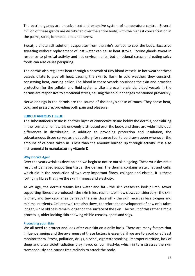The eccrine glands are an advanced and extensive system of temperature control. Several million of these glands are distributed over the entire body, with the highest concentration in the palms, soles, forehead, and underarms.

Sweat, a dilute salt solution, evaporates from the skin's surface to cool the body. Excessive sweating without replacement of lost water can cause heat stroke. Eccrine glands sweat in response to physical activity and hot environments, but emotional stress and eating spicy foods can also cause perspiring.

The dermis also regulates heat through a network of tiny blood vessels. In hot weather these vessels dilate to give off heat, causing the skin to flush. In cold weather, they constrict, conserving heat, causing pallor. The blood in these vessels nourishes the skin and provides protection for the cellular and fluid systems. Like the eccrine glands, blood vessels in the dermis are responsive to emotional stress, causing the colour changes mentioned previously.

Nerve endings in the dermis are the source of the body's sense of touch. They sense heat, cold, and pressure, providing both pain and pleasure.

### **SUBCUTANEOUS TISSUE**

The subcutaneous tissue is another layer of connective tissue below the dermis, specializing in the formation of fat. It is unevenly distributed over the body, and there are wide individual differences in distribution. In addition to providing protection and insulation, the subcutaneous tissue serves as a depository for reserve fuel to be drawn upon whenever the amount of calories taken in is less than the amount burned up through activity. It is also instrumental in manufacturing vitamin D.

#### **Why Do We Age?**

Over the years wrinkles develop and we begin to notice our skin ageing. These wrinkles are a result of damaged supporting tissue, the dermis. The dermis contains water, fat and cells, which aid in the production of two very important fibres, collagen and elastin. It is these fortifying fibres that give the skin firmness and elasticity.

As we age, the dermis retains less water and fat - the skin ceases to look plump, fewer supporting fibres are produced - the skin is less resilient, oil flow slows considerably - the skin is drier, and tiny capillaries beneath the skin close off - the skin receives less oxygen and minimal nutrients. Cell renewal rate also slows, therefore the development of new cells takes longer, while old cells remain longer on the surface of the skin. The result of this rather simple process is, older looking skin showing visible creases, spots and sags.

#### **Protecting your Skin**

We all need to protect and look after our skin on a daily basis. There are many factors that influence ageing and the awareness of these factors is essential if we are to avoid or at least monitor them. Stress, pollution, drugs, alcohol, cigarette smoking, improper nutrition, lack of sleep and ultra violet radiation play havoc on our lifestyle, which in turn stresses the skin tremendously and causes free radicals to attack the body.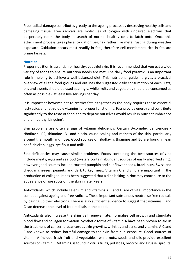Free radical damage contributes greatly to the ageing process by destroying healthy cells and damaging tissue. Free radicals are molecules of oxygen with unpaired electrons that desperately roam the body in search of normal healthy cells to latch onto. Once this attachment process takes place, oxidation begins - rather like metal rusting during weather exposure. Oxidation occurs most readily in fats, therefore cell membranes rich in fat, are prime targets.

#### **Nutrition**

Proper nutrition is essential for healthy, youthful skin. It is recommended that you eat a wide variety of foods to ensure nutrition needs are met. The daily food pyramid is an important role in helping to achieve a well-balanced diet. This nutritional guideline gives a practical overview of all the food groups and outlines the suggested daily consumption of each. Fats, oils and sweets should be used sparingly, while fruits and vegetables should be consumed as often as possible - at least five servings per day.

It is important however not to restrict fats altogether as the body requires these essential fatty acids and fat-soluble vitamins for proper functioning. Fats provide energy and contribute significantly to the taste of food and to deprive ourselves would result in nutrient imbalance and unhealthy 'bingeing'.

Skin problems are often a sign of vitamin deficiency. Certain B-complex deficiencies riboflavin- B2, thiamine- B1 and biotin, cause scaling and redness of the skin, particularly around the mouth and nose. Good sources of riboflavin, thiamine and B6 are found in lean beef, chicken, eggs, rye flour and milk.

Zinc deficiencies may cause similar problems. Foods containing the best sources of zinc include meats, eggs and seafood (oysters contain abundant sources of easily absorbed zinc), however good sources include roasted pumpkin and sunflower seeds, brazil nuts, Swiss and cheddar cheeses, peanuts and dark turkey meat. Vitamin C and zinc are important in the production of collagen. It has been suggested that a diet lacking in zinc may contribute to the appearance of age spots on the skin in later years.

Antioxidants, which include selenium and vitamins A,C and E, are of vital importance in the combat against ageing and free radicals. These important substances neutralise free radicals by pairing up their electrons. There is also sufficient evidence to suggest that vitamins E and C can decrease the level of free radicals in the blood.

Antioxidants also increase the skins cell renewal rate, normalise cell growth and stimulate blood flow and collagen formation. Synthetic forms of vitamin A have been proven to aid in the treatment of cancer, precancerous skin growths, wrinkles and acne, and vitamins A,C and E are known to reduce harmful damage to the skin from sun exposure. Good sources of vitamin A include fresh fruit and vegetables, while nuts, seeds and oils provide excellent sources of vitamin E. Vitamin C is found in citrus fruits, potatoes, broccoli and Brussel sprouts.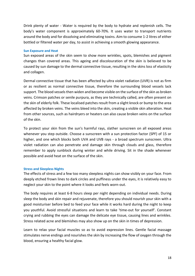Drink plenty of water - Water is required by the body to hydrate and replenish cells. The body's water component is approximately 60-70%. It uses water to transport nutrients around the body and for dissolving and eliminating toxins. Aim to consume 1-2 litres of either bottled or filtered water per day, to assist in achieving a smooth glowing appearance.

#### **Sun Exposure and Heat**

Sun exposed areas of the skin seem to show more wrinkles, spots, blemishes and pigment changes than covered areas. This ageing and discolouration of the skin is believed to be caused by sun damage to the dermal connective tissue, resulting in the skins loss of elasticity and collagen.

Dermal connective tissue that has been affected by ultra violet radiation (UVR) is not as firm or as resilient as normal connective tissue, therefore the surrounding blood vessels lack support. The blood vessels then widen and become visible on the surface of the skin as broken veins. Crimson patches or senile purpura, as they are technically called, are often present on the skin of elderly folk. These localised patches result from a slight knock or bump to the area affected by broken veins. The veins bleed into the skin, creating a visible skin alteration. Heat from other sources, such as hairdryers or heaters can also cause broken veins on the surface of the skin.

To protect your skin from the sun's harmful rays, slather sunscreen on all exposed areas whenever you step outside. Choose a sunscreen with a sun protection factor (SPF) of 15 or higher, and one which blocks both UVA and UVB rays - a broad spectrum sunscreen. Ultra violet radiation can also penetrate and damage skin through clouds and glass, therefore remember to apply sunblock during winter and while driving. Sit in the shade whenever possible and avoid heat on the surface of the skin.

### **Stress and Sleepless Nights**

The effects of stress and a few too many sleepless nights can show visibly on your face. From deeply etched frown lines to dark circles and puffiness under the eyes, it is relatively easy to neglect your skin to the point where it looks and feels worn-out.

The body requires at least 6-8 hours sleep per night depending on individual needs. During sleep the body and skin repair and rejuvenate, therefore you should nourish your skin with a good moisturiser before bed to feed your face while it works hard during the night to keep you youthful. Avoid stressful situations and learn to take 'time-out for yourself'. Constant crying and rubbing the eyes can damage the delicate eye tissue, causing lines and wrinkles. Stress related acne and blemishes may also show up on the skin in times of depression.

Learn to relax your facial muscles so as to avoid expression lines. Gentle facial massage stimulates nerve endings and nourishes the skin by increasing the flow of oxygen through the blood, ensuring a healthy facial glow.